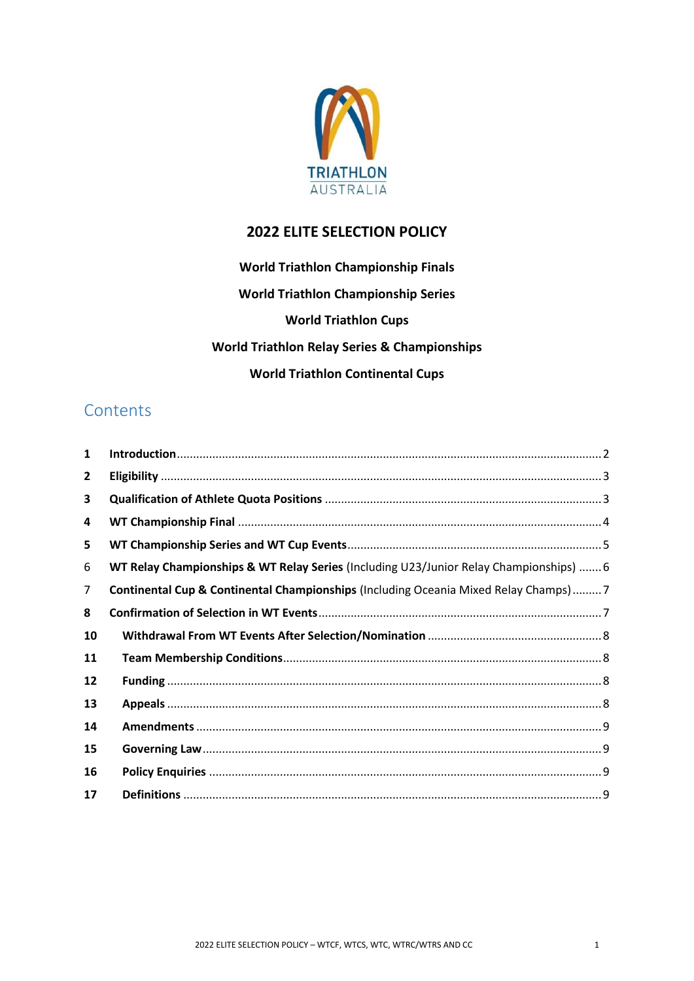

# **ELITE SELECTION POLICY**

**World Triathlon Championship Finals World Triathlon Championship Series World Triathlon Cups World Triathlon Relay Series & Championships World Triathlon Continental Cups**

# **Contents**

| 1  |                                                                                        |  |
|----|----------------------------------------------------------------------------------------|--|
| 2  |                                                                                        |  |
| 3  |                                                                                        |  |
| 4  |                                                                                        |  |
| 5  |                                                                                        |  |
| 6  | WT Relay Championships & WT Relay Series (Including U23/Junior Relay Championships)  6 |  |
| 7  | Continental Cup & Continental Championships (Including Oceania Mixed Relay Champs)7    |  |
| 8  |                                                                                        |  |
| 10 |                                                                                        |  |
| 11 |                                                                                        |  |
| 12 |                                                                                        |  |
| 13 |                                                                                        |  |
| 14 |                                                                                        |  |
| 15 |                                                                                        |  |
| 16 |                                                                                        |  |
| 17 |                                                                                        |  |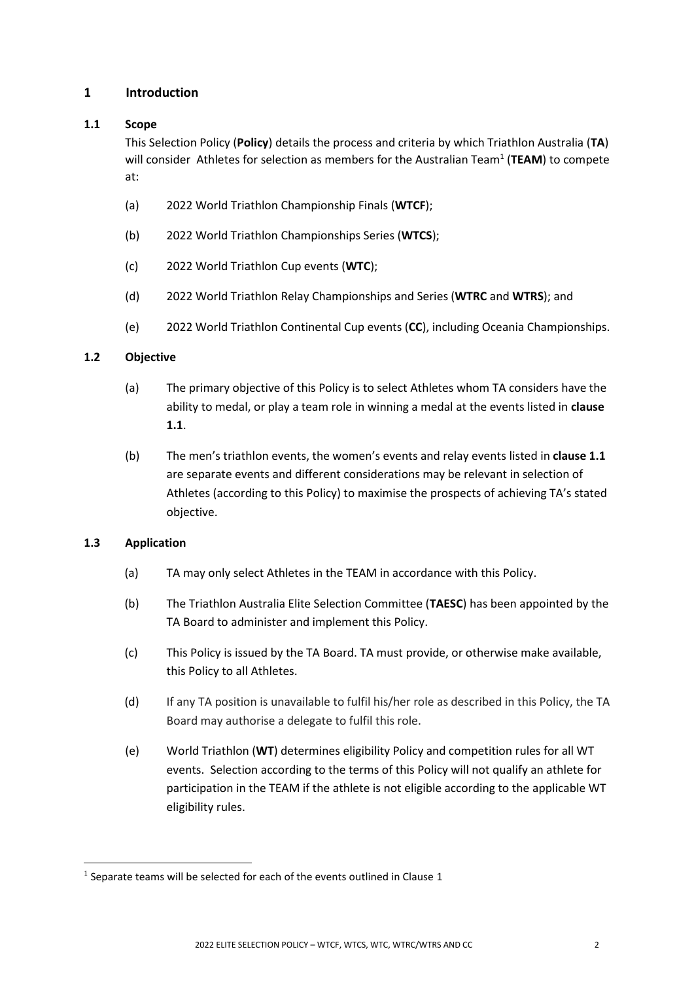# <span id="page-1-0"></span>**1 Introduction**

#### **1.1 Scope**

This Selection Policy (**Policy**) details the process and criteria by which Triathlon Australia (**TA**) will consider Athletes for selection as members for the Australian Team<sup>1</sup> (TEAM) to compete at:

- (a) 2022 World Triathlon Championship Finals (**WTCF**);
- (b) 2022 World Triathlon Championships Series (**WTCS**);
- (c) 2022 World Triathlon Cup events (**WTC**);
- (d) 2022 World Triathlon Relay Championships and Series (**WTRC** and **WTRS**); and
- (e) 2022 World Triathlon Continental Cup events (**CC**), including Oceania Championships.

#### **1.2 Objective**

- (a) The primary objective of this Policy is to select Athletes whom TA considers have the ability to medal, or play a team role in winning a medal at the events listed in **clause 1.1**.
- (b) The men's triathlon events, the women's events and relay events listed in **clause 1.1** are separate events and different considerations may be relevant in selection of Athletes (according to this Policy) to maximise the prospects of achieving TA's stated objective.

#### **1.3 Application**

- (a) TA may only select Athletes in the TEAM in accordance with this Policy.
- (b) The Triathlon Australia Elite Selection Committee (**TAESC**) has been appointed by the TA Board to administer and implement this Policy.
- (c) This Policy is issued by the TA Board. TA must provide, or otherwise make available, this Policy to all Athletes.
- (d) If any TA position is unavailable to fulfil his/her role as described in this Policy, the TA Board may authorise a delegate to fulfil this role.
- (e) World Triathlon (**WT**) determines eligibility Policy and competition rules for all WT events. Selection according to the terms of this Policy will not qualify an athlete for participation in the TEAM if the athlete is not eligible according to the applicable WT eligibility rules.

 $<sup>1</sup>$  Separate teams will be selected for each of the events outlined in Clause 1</sup>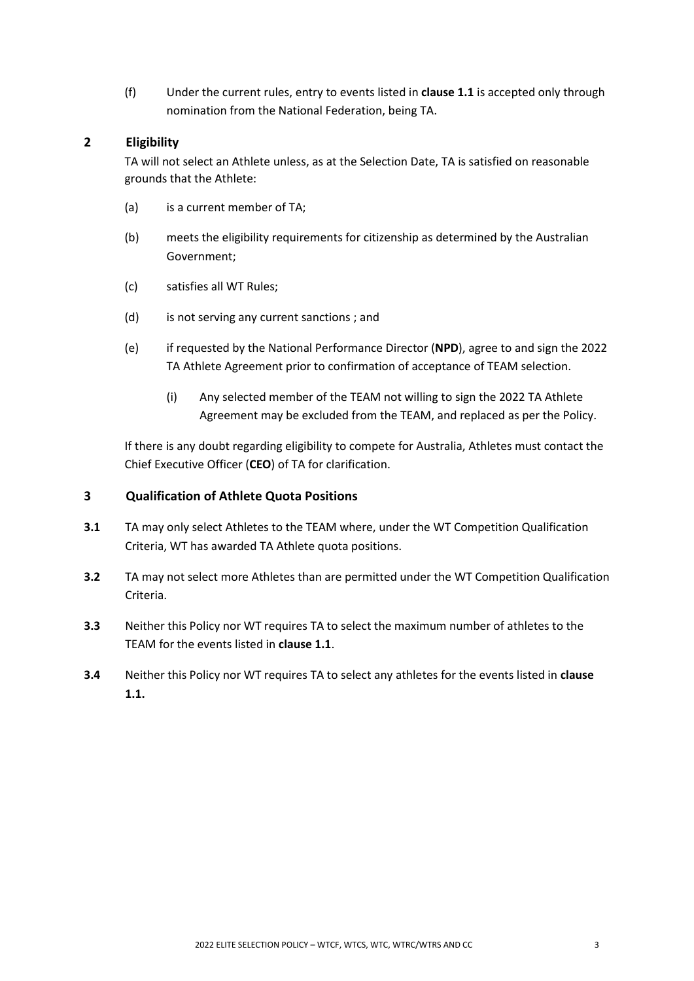(f) Under the current rules, entry to events listed in **clause 1.1** is accepted only through nomination from the National Federation, being TA.

# <span id="page-2-0"></span>**2 Eligibility**

TA will not select an Athlete unless, as at the Selection Date, TA is satisfied on reasonable grounds that the Athlete:

- (a) is a current member of TA;
- (b) meets the eligibility requirements for citizenship as determined by the Australian Government;
- (c) satisfies all WT Rules;
- (d) is not serving any current sanctions ; and
- (e) if requested by the National Performance Director (**NPD**), agree to and sign the 2022 TA Athlete Agreement prior to confirmation of acceptance of TEAM selection.
	- (i) Any selected member of the TEAM not willing to sign the 2022 TA Athlete Agreement may be excluded from the TEAM, and replaced as per the Policy.

If there is any doubt regarding eligibility to compete for Australia, Athletes must contact the Chief Executive Officer (**CEO**) of TA for clarification.

# <span id="page-2-1"></span>**3 Qualification of Athlete Quota Positions**

- **3.1** TA may only select Athletes to the TEAM where, under the WT Competition Qualification Criteria, WT has awarded TA Athlete quota positions.
- **3.2** TA may not select more Athletes than are permitted under the WT Competition Qualification Criteria.
- **3.3** Neither this Policy nor WT requires TA to select the maximum number of athletes to the TEAM for the events listed in **clause 1.1**.
- **3.4** Neither this Policy nor WT requires TA to select any athletes for the events listed in **clause 1.1.**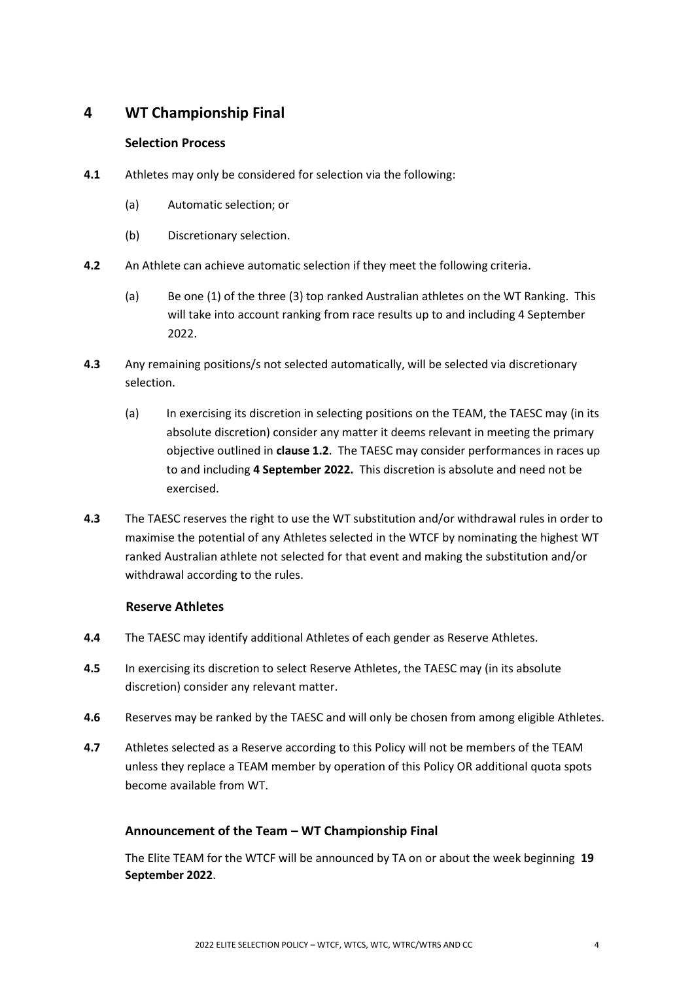# <span id="page-3-0"></span>**4 WT Championship Final**

## **Selection Process**

- **4.1** Athletes may only be considered for selection via the following:
	- (a) Automatic selection; or
	- (b) Discretionary selection.
- **4.2** An Athlete can achieve automatic selection if they meet the following criteria.
	- (a) Be one (1) of the three (3) top ranked Australian athletes on the WT Ranking. This will take into account ranking from race results up to and including 4 September 2022.
- **4.3** Any remaining positions/s not selected automatically, will be selected via discretionary selection.
	- (a) In exercising its discretion in selecting positions on the TEAM, the TAESC may (in its absolute discretion) consider any matter it deems relevant in meeting the primary objective outlined in **clause 1.2**. The TAESC may consider performances in races up to and including **4 September 2022.** This discretion is absolute and need not be exercised.
- **4.3** The TAESC reserves the right to use the WT substitution and/or withdrawal rules in order to maximise the potential of any Athletes selected in the WTCF by nominating the highest WT ranked Australian athlete not selected for that event and making the substitution and/or withdrawal according to the rules.

#### **Reserve Athletes**

- **4.4** The TAESC may identify additional Athletes of each gender as Reserve Athletes.
- **4.5** In exercising its discretion to select Reserve Athletes, the TAESC may (in its absolute discretion) consider any relevant matter.
- **4.6** Reserves may be ranked by the TAESC and will only be chosen from among eligible Athletes.
- **4.7** Athletes selected as a Reserve according to this Policy will not be members of the TEAM unless they replace a TEAM member by operation of this Policy OR additional quota spots become available from WT.

# **Announcement of the Team – WT Championship Final**

The Elite TEAM for the WTCF will be announced by TA on or about the week beginning **19 September 2022**.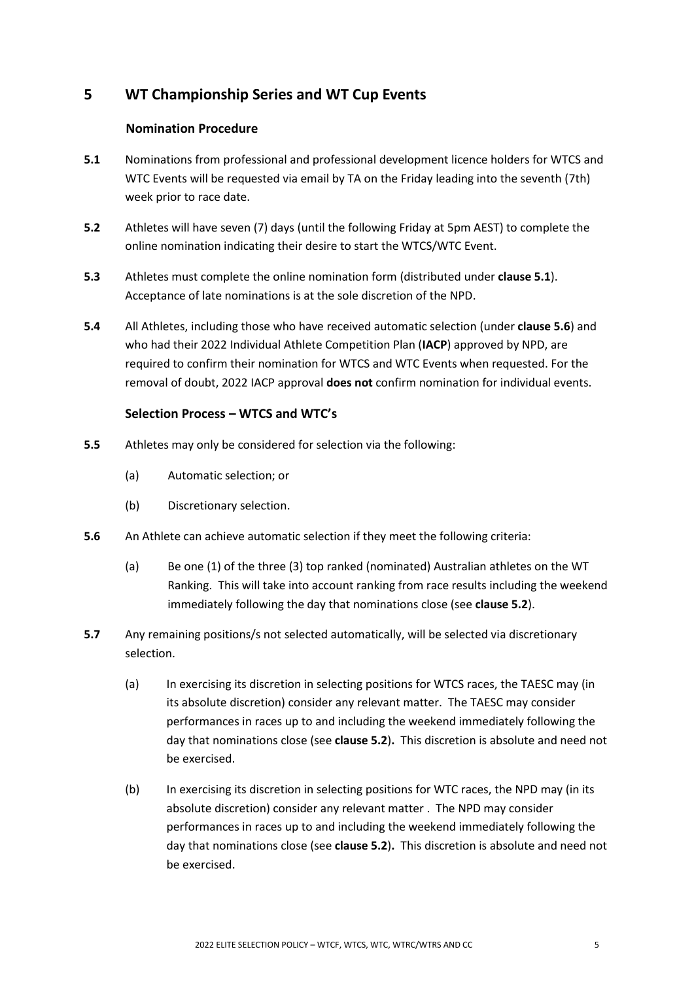# <span id="page-4-0"></span>**5 WT Championship Series and WT Cup Events**

# **Nomination Procedure**

- **5.1** Nominations from professional and professional development licence holders for WTCS and WTC Events will be requested via email by TA on the Friday leading into the seventh (7th) week prior to race date.
- **5.2** Athletes will have seven (7) days (until the following Friday at 5pm AEST) to complete the online nomination indicating their desire to start the WTCS/WTC Event.
- **5.3** Athletes must complete the online nomination form (distributed under **clause 5.1**). Acceptance of late nominations is at the sole discretion of the NPD.
- **5.4** All Athletes, including those who have received automatic selection (under **clause 5.6**) and who had their 2022 Individual Athlete Competition Plan (**IACP**) approved by NPD, are required to confirm their nomination for WTCS and WTC Events when requested. For the removal of doubt, 2022 IACP approval **does not** confirm nomination for individual events.

# **Selection Process – WTCS and WTC's**

- **5.5** Athletes may only be considered for selection via the following:
	- (a) Automatic selection; or
	- (b) Discretionary selection.
- **5.6** An Athlete can achieve automatic selection if they meet the following criteria:
	- (a) Be one (1) of the three (3) top ranked (nominated) Australian athletes on the WT Ranking. This will take into account ranking from race results including the weekend immediately following the day that nominations close (see **clause 5.2**).
- **5.7** Any remaining positions/s not selected automatically, will be selected via discretionary selection.
	- (a) In exercising its discretion in selecting positions for WTCS races, the TAESC may (in its absolute discretion) consider any relevant matter. The TAESC may consider performances in races up to and including the weekend immediately following the day that nominations close (see **clause 5.2**)**.** This discretion is absolute and need not be exercised.
	- (b) In exercising its discretion in selecting positions for WTC races, the NPD may (in its absolute discretion) consider any relevant matter . The NPD may consider performances in races up to and including the weekend immediately following the day that nominations close (see **clause 5.2**)**.** This discretion is absolute and need not be exercised.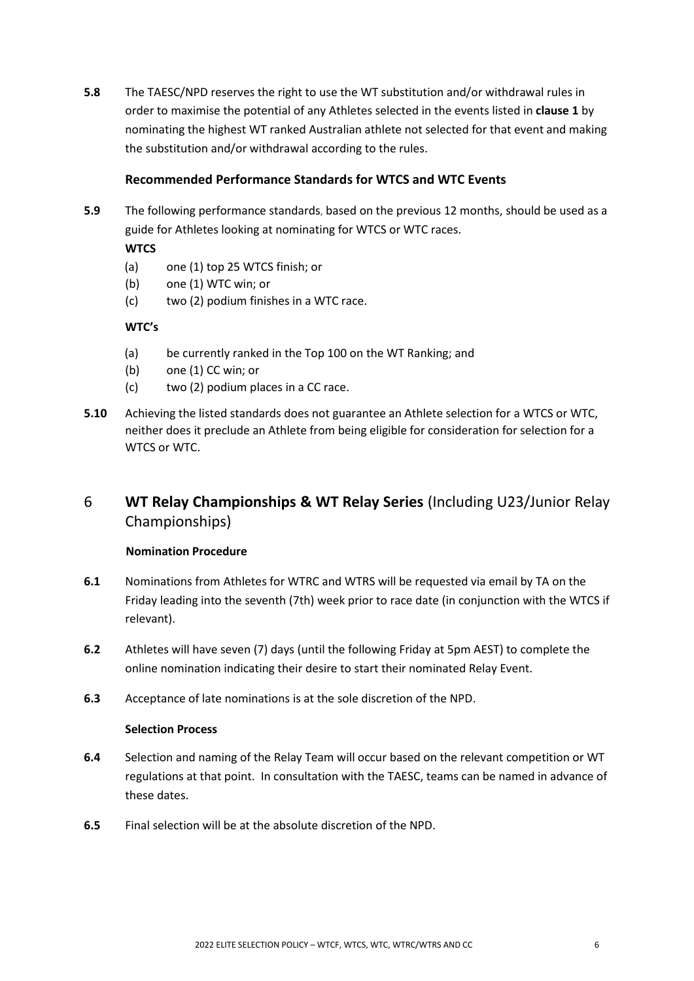**5.8** The TAESC/NPD reserves the right to use the WT substitution and/or withdrawal rules in order to maximise the potential of any Athletes selected in the events listed in **clause 1** by nominating the highest WT ranked Australian athlete not selected for that event and making the substitution and/or withdrawal according to the rules.

## **Recommended Performance Standards for WTCS and WTC Events**

**5.9** The following performance standards, based on the previous 12 months, should be used as a guide for Athletes looking at nominating for WTCS or WTC races.

### **WTCS**

- (a) one (1) top 25 WTCS finish; or
- (b) one (1) WTC win; or
- (c) two (2) podium finishes in a WTC race.

### **WTC's**

- (a) be currently ranked in the Top 100 on the WT Ranking; and
- (b) one (1) CC win; or
- (c) two (2) podium places in a CC race.
- **5.10** Achieving the listed standards does not guarantee an Athlete selection for a WTCS or WTC, neither does it preclude an Athlete from being eligible for consideration for selection for a WTCS or WTC.
- <span id="page-5-0"></span>6 **WT Relay Championships & WT Relay Series** (Including U23/Junior Relay Championships)

#### **Nomination Procedure**

- **6.1** Nominations from Athletes for WTRC and WTRS will be requested via email by TA on the Friday leading into the seventh (7th) week prior to race date (in conjunction with the WTCS if relevant).
- **6.2** Athletes will have seven (7) days (until the following Friday at 5pm AEST) to complete the online nomination indicating their desire to start their nominated Relay Event.
- **6.3** Acceptance of late nominations is at the sole discretion of the NPD.

#### **Selection Process**

- **6.4** Selection and naming of the Relay Team will occur based on the relevant competition or WT regulations at that point. In consultation with the TAESC, teams can be named in advance of these dates.
- **6.5** Final selection will be at the absolute discretion of the NPD.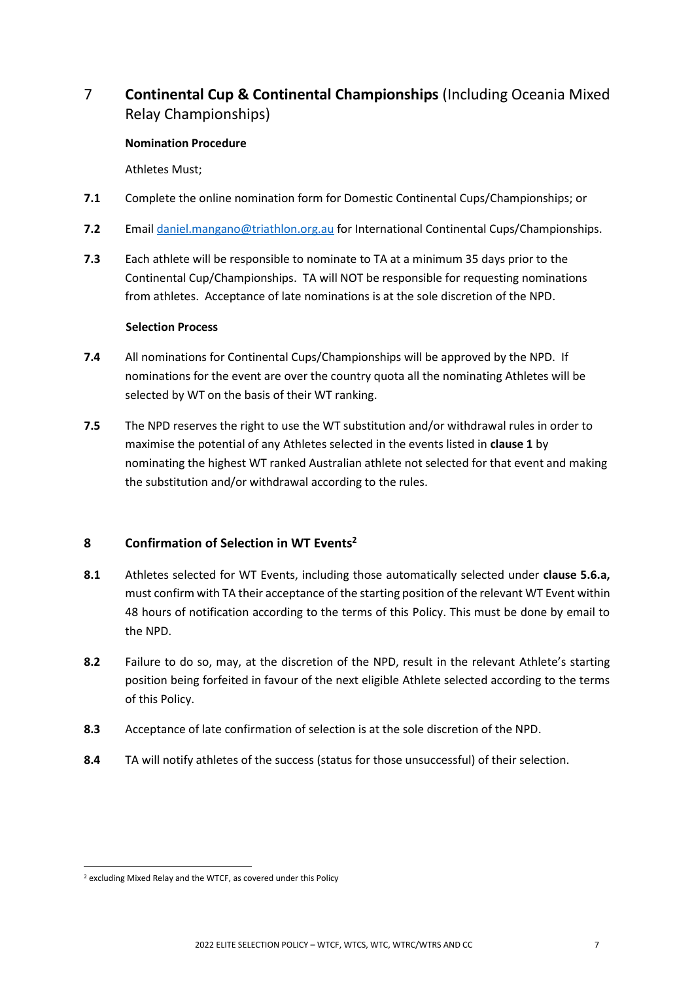# <span id="page-6-0"></span>7 **Continental Cup & Continental Championships** (Including Oceania Mixed Relay Championships)

#### **Nomination Procedure**

Athletes Must;

- **7.1** Complete the online nomination form for Domestic Continental Cups/Championships; or
- **7.2** Emai[l daniel.mangano@triathlon.org.au](mailto:daniel.mangano@triathlon.org.au) for International Continental Cups/Championships.
- **7.3** Each athlete will be responsible to nominate to TA at a minimum 35 days prior to the Continental Cup/Championships. TA will NOT be responsible for requesting nominations from athletes. Acceptance of late nominations is at the sole discretion of the NPD.

### **Selection Process**

- **7.4** All nominations for Continental Cups/Championships will be approved by the NPD. If nominations for the event are over the country quota all the nominating Athletes will be selected by WT on the basis of their WT ranking.
- **7.5** The NPD reserves the right to use the WT substitution and/or withdrawal rules in order to maximise the potential of any Athletes selected in the events listed in **clause 1** by nominating the highest WT ranked Australian athlete not selected for that event and making the substitution and/or withdrawal according to the rules.

# <span id="page-6-1"></span>**8 Confirmation of Selection in WT Events<sup>2</sup>**

- **8.1** Athletes selected for WT Events, including those automatically selected under **clause 5.6.a,** must confirm with TA their acceptance of the starting position of the relevant WT Event within 48 hours of notification according to the terms of this Policy. This must be done by email to the NPD.
- **8.2** Failure to do so, may, at the discretion of the NPD, result in the relevant Athlete's starting position being forfeited in favour of the next eligible Athlete selected according to the terms of this Policy.
- **8.3** Acceptance of late confirmation of selection is at the sole discretion of the NPD.
- **8.4** TA will notify athletes of the success (status for those unsuccessful) of their selection.

<sup>2</sup> excluding Mixed Relay and the WTCF, as covered under this Policy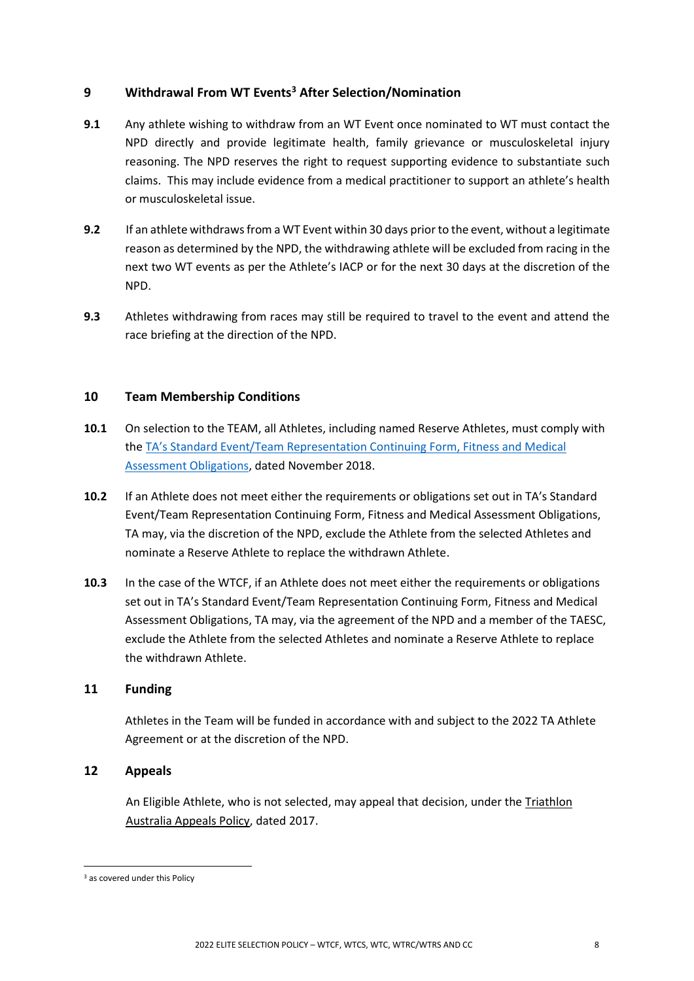# <span id="page-7-0"></span>**9 Withdrawal From WT Events<sup>3</sup> After Selection/Nomination**

- **9.1** Any athlete wishing to withdraw from an WT Event once nominated to WT must contact the NPD directly and provide legitimate health, family grievance or musculoskeletal injury reasoning. The NPD reserves the right to request supporting evidence to substantiate such claims. This may include evidence from a medical practitioner to support an athlete's health or musculoskeletal issue.
- **9.2** If an athlete withdraws from a WT Event within 30 days prior to the event, without a legitimate reason as determined by the NPD, the withdrawing athlete will be excluded from racing in the next two WT events as per the Athlete's IACP or for the next 30 days at the discretion of the NPD.
- **9.3** Athletes withdrawing from races may still be required to travel to the event and attend the race briefing at the direction of the NPD.

### <span id="page-7-1"></span>**10 Team Membership Conditions**

- **10.1** On selection to the TEAM, all Athletes, including named Reserve Athletes, must comply with the TA's Standard Eve[nt/Team Representation Continuing Form, Fitness and Medical](http://www.triathlon.org.au/Assets/Triathlon+Australia+Digital+Assets/Athlete+Fitness+and+Medical+Obligations.pdf)  [Assessment Obligations,](http://www.triathlon.org.au/Assets/Triathlon+Australia+Digital+Assets/Athlete+Fitness+and+Medical+Obligations.pdf) dated November 2018.
- **10.2** If an Athlete does not meet either the requirements or obligations set out in TA's Standard Event/Team Representation Continuing Form, Fitness and Medical Assessment Obligations, TA may, via the discretion of the NPD, exclude the Athlete from the selected Athletes and nominate a Reserve Athlete to replace the withdrawn Athlete.
- **10.3** In the case of the WTCF, if an Athlete does not meet either the requirements or obligations set out in TA's Standard Event/Team Representation Continuing Form, Fitness and Medical Assessment Obligations, TA may, via the agreement of the NPD and a member of the TAESC, exclude the Athlete from the selected Athletes and nominate a Reserve Athlete to replace the withdrawn Athlete.

#### <span id="page-7-2"></span>**11 Funding**

Athletes in the Team will be funded in accordance with and subject to the 2022 TA Athlete Agreement or at the discretion of the NPD.

### <span id="page-7-3"></span>**12 Appeals**

An Eligible Athlete, who is not selected, may appeal that decision, under th[e Triathlon](http://www.triathlon.org.au/Assets/Triathlon+Australia+Digital+Assets/2017+Triathlon+Australia+Appeals+Policy.pdf)  [Australia Appeals Policy,](http://www.triathlon.org.au/Assets/Triathlon+Australia+Digital+Assets/2017+Triathlon+Australia+Appeals+Policy.pdf) dated 2017.

<sup>&</sup>lt;sup>3</sup> as covered under this Policy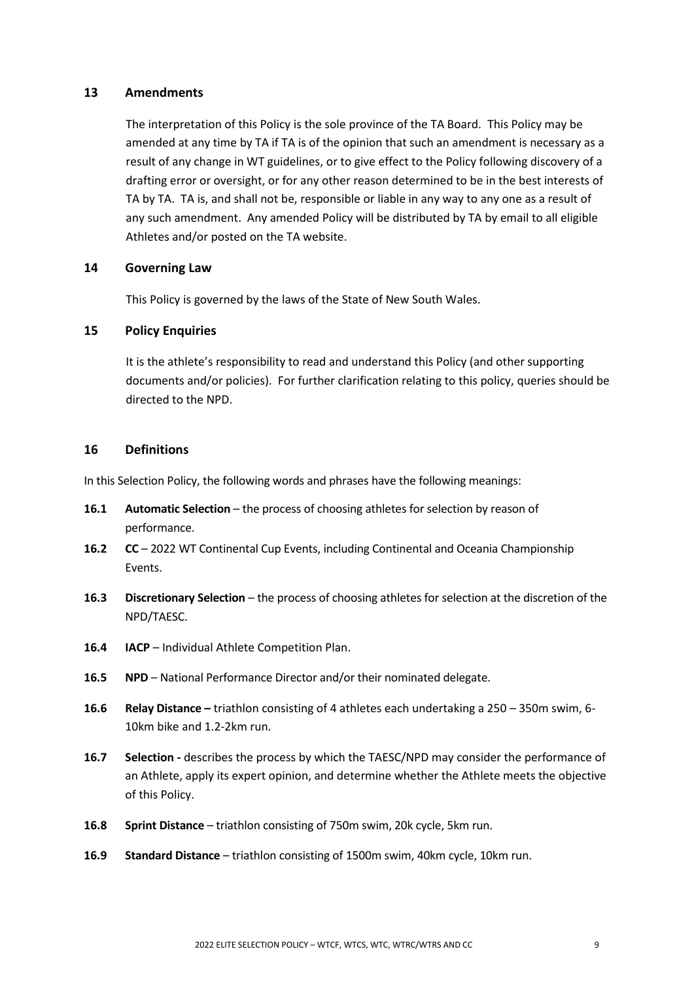#### <span id="page-8-0"></span>**13 Amendments**

The interpretation of this Policy is the sole province of the TA Board. This Policy may be amended at any time by TA if TA is of the opinion that such an amendment is necessary as a result of any change in WT guidelines, or to give effect to the Policy following discovery of a drafting error or oversight, or for any other reason determined to be in the best interests of TA by TA. TA is, and shall not be, responsible or liable in any way to any one as a result of any such amendment. Any amended Policy will be distributed by TA by email to all eligible Athletes and/or posted on the TA website.

#### <span id="page-8-1"></span>**14 Governing Law**

This Policy is governed by the laws of the State of New South Wales.

### <span id="page-8-2"></span>**15 Policy Enquiries**

It is the athlete's responsibility to read and understand this Policy (and other supporting documents and/or policies).For further clarification relating to this policy, queries should be directed to the NPD.

#### <span id="page-8-3"></span>**16 Definitions**

In this Selection Policy, the following words and phrases have the following meanings:

- **16.1 Automatic Selection** the process of choosing athletes for selection by reason of performance.
- **16.2 CC** 2022 WT Continental Cup Events, including Continental and Oceania Championship Events.
- **16.3 Discretionary Selection** the process of choosing athletes for selection at the discretion of the NPD/TAESC.
- **16.4 IACP** Individual Athlete Competition Plan.
- **16.5 NPD** National Performance Director and/or their nominated delegate.
- **16.6 Relay Distance –** triathlon consisting of 4 athletes each undertaking a 250 350m swim, 6- 10km bike and 1.2-2km run.
- **16.7 Selection** *-* describes the process by which the TAESC/NPD may consider the performance of an Athlete, apply its expert opinion, and determine whether the Athlete meets the objective of this Policy.
- **16.8 Sprint Distance** triathlon consisting of 750m swim, 20k cycle, 5km run.
- **16.9 Standard Distance** triathlon consisting of 1500m swim, 40km cycle, 10km run.